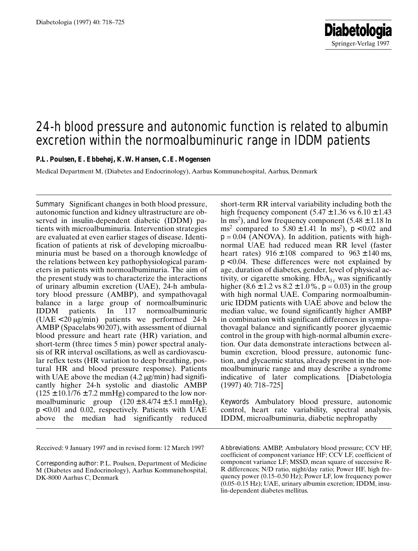# 24-h blood pressure and autonomic function is related to albumin excretion within the normoalbuminuric range in IDDM patients

**P.L. Poulsen, E. Ebbehøj, K. W. Hansen, C. E. Mogensen**

Medical Department M, (Diabetes and Endocrinology), Aarhus Kommunehospital, Aarhus, Denmark

**Summary** Significant changes in both blood pressure, autonomic function and kidney ultrastructure are observed in insulin-dependent diabetic (IDDM) patients with microalbuminuria. Intervention strategies are evaluated at even earlier stages of disease. Identification of patients at risk of developing microalbuminuria must be based on a thorough knowledge of the relations between key pathophysiological parameters in patients with normoalbuminuria. The aim of the present study was to characterize the interactions of urinary albumin excretion (UAE), 24-h ambulatory blood pressure (AMBP), and sympathovagal balance in a large group of normoalbuminuric IDDM patients. In 117 normoalbuminuric  $(UAE < 20 \mu g/min)$  patients we performed 24-h AMBP (Spacelabs 90207), with assessment of diurnal blood pressure and heart rate (HR) variation, and short-term (three times 5 min) power spectral analysis of RR interval oscillations, as well as cardiovascular reflex tests (HR variation to deep breathing, postural HR and blood pressure response). Patients with UAE above the median  $(4.2 \mu g/min)$  had significantly higher 24-h systolic and diastolic AMBP  $(125 \pm 10.1/76 \pm 7.2 \text{ mmHg})$  compared to the low normoalbuminuric group  $(120 \pm 8.4/74 \pm 5.1 \text{ mmHg})$ ,  $p < 0.01$  and 0.02, respectively. Patients with UAE above the median had significantly reduced

Received: 9 January 1997 and in revised form: 12 March 1997

short-term RR interval variability including both the high frequency component  $(5.47 \pm 1.36 \text{ vs } 6.10 \pm 1.43)$ ln ms<sup>2</sup>), and low frequency component  $(5.48 \pm 1.18 \ln$ ms<sup>2</sup> compared to  $5.80 \pm 1.41$  ln ms<sup>2</sup>),  $p < 0.02$  and  $p = 0.04$  (ANOVA). In addition, patients with highnormal UAE had reduced mean RR level (faster heart rates)  $916 \pm 108$  compared to  $963 \pm 140$  ms,  $p < 0.04$ . These differences were not explained by age, duration of diabetes, gender, level of physical activity, or cigarette smoking.  $HbA_{1c}$  was significantly higher  $(8.6 \pm 1.2 \text{ vs } 8.2 \pm 1.0\% , p = 0.03)$  in the group with high normal UAE. Comparing normoalbuminuric IDDM patients with UAE above and below the median value, we found significantly higher AMBP in combination with significant differences in sympathovagal balance and significantly poorer glycaemic control in the group with high-normal albumin excretion. Our data demonstrate interactions between albumin excretion, blood pressure, autonomic function, and glycaemic status, already present in the normoalbuminuric range and may describe a syndrome indicative of later complications. [Diabetologia (1997) 40: 718–725]

Keywords Ambulatory blood pressure, autonomic control, heart rate variability, spectral analysis, IDDM, microalbuminuria, diabetic nephropathy

*Abbreviations*: AMBP, Ambulatory blood pressure; CCV HF, coefficient of component variance HF; CCV LF, coefficient of component variance LF; MSSD, mean square of successive R-R differences; N/D ratio, night/day ratio; Power HF, high frequency power (0.15–0.50 Hz); Power LF, low frequency power (0.05–0.15 Hz); UAE, urinary albumin excretion; IDDM, insulin-dependent diabetes mellitus.

*Corresponding author:* P. L. Poulsen, Department of Medicine M (Diabetes and Endocrinology), Aarhus Kommunehospital, DK-8000 Aarhus C, Denmark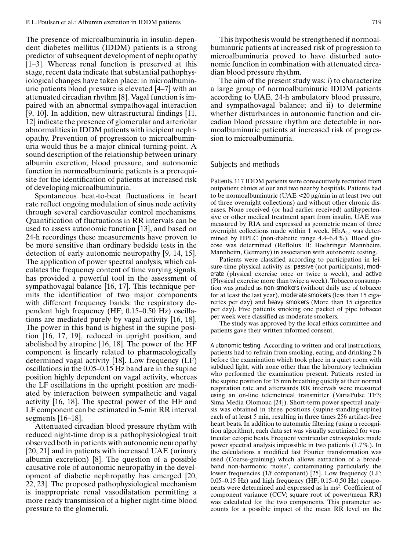The presence of microalbuminuria in insulin-dependent diabetes mellitus (IDDM) patients is a strong predictor of subsequent development of nephropathy [1–3]. Whereas renal function is preserved at this stage, recent data indicate that substantial pathophysiological changes have taken place: in microalbuminuric patients blood pressure is elevated [4–7] with an attenuated circadian rhythm [8]. Vagal function is impaired with an abnormal sympathovagal interaction [9, 10]. In addition, new ultrastructural findings [11, 12] indicate the presence of glomerular and arteriolar abnormalities in IDDM patients with incipient nephropathy. Prevention of progression to microalbuminuria would thus be a major clinical turning-point. A sound description of the relationship between urinary albumin excretion, blood pressure, and autonomic function in normoalbuminuric patients is a prerequisite for the identification of patients at increased risk of developing microalbuminuria.

Spontaneous beat-to-beat fluctuations in heart rate reflect ongoing modulation of sinus node activity through several cardiovascular control mechanisms. Quantification of fluctuations in RR intervals can be used to assess autonomic function [13], and based on 24-h recordings these measurements have proven to be more sensitive than ordinary bedside tests in the detection of early autonomic neuropathy [9, 14, 15]. The application of power spectral analysis, which calculates the frequency content of time varying signals, has provided a powerful tool in the assessment of sympathovagal balance [16, 17]. This technique permits the identification of two major components with different frequency bands: the respiratory dependent high frequency (HF; 0.15–0.50 Hz) oscillations are mediated purely by vagal activity [16, 18]. The power in this band is highest in the supine position [16, 17, 19], reduced in upright position, and abolished by atropine [16, 18]. The power of the HF component is linearly related to pharmacologically determined vagal activity [18]. Low frequency (LF) oscillations in the 0.05–0.15 Hz band are in the supine position highly dependent on vagal activity, whereas the LF oscillations in the upright position are mediated by interaction between sympathetic and vagal activity [16, 18]. The spectral power of the HF and LF component can be estimated in 5-min RR interval segments [16–18].

Attenuated circadian blood pressure rhythm with reduced night-time drop is a pathophysiological trait observed both in patients with autonomic neuropathy [20, 21] and in patients with increased UAE (urinary albumin excretion) [8]. The question of a possible causative role of autonomic neuropathy in the development of diabetic nephropathy has emerged [20, 22, 23]. The proposed pathophysiological mechanism is inappropriate renal vasodilatation permitting a more ready transmission of a higher night-time blood pressure to the glomeruli.

This hypothesis would be strengthened if normoalbuminuric patients at increased risk of progression to microalbuminuria proved to have disturbed autonomic function in combination with attenuated circadian blood pressure rhythm.

The aim of the present study was: i) to characterize a large group of normoalbuminuric IDDM patients according to UAE, 24-h ambulatory blood pressure, and sympathovagal balance; and ii) to determine whether disturbances in autonomic function and circadian blood pressure rhythm are detectable in normoalbuminuric patients at increased risk of progression to microalbuminuria.

### Subjects and methods

*Patients.* 117 IDDM patients were consecutively recruited from outpatient clinics at our and two nearby hospitals. Patients had to be normoal buminuric (UAE  $<$  20  $\mu$ g/min in at least two out of three overnight collections) and without other chronic diseases. None received (or had earlier received) antihypertensive or other medical treatment apart from insulin. UAE was measured by RIA and expressed as geometric mean of three overnight collections made within 1 week.  $HbA<sub>1c</sub>$  was determined by HPLC (non-diabetic range 4.4–6.4 %). Blood glucose was determined (Reflolux II; Boehringer Mannheim, Mannheim, Germany) in association with autonomic testing.

Patients were classified according to participation in leisure-time physical activity as: *passive* (not participants), *moderate* (physical exercise once or twice a week), and *active* (Physical exercise more than twice a week). Tobacco consumption was graded as *non-smokers* (without daily use of tobacco for at least the last year), *moderate smokers* (less than 15 cigarettes per day) and *heavy smokers* (More than 15 cigarettes per day). Five patients smoking one packet of pipe tobacco per week were classified as moderate smokers.

The study was approved by the local ethics committee and patients gave their written informed consent.

*Autonomic testing.* According to written and oral instructions, patients had to refrain from smoking, eating, and drinking 2 h before the examination which took place in a quiet room with subdued light, with none other than the laboratory technician who performed the examination present. Patients rested in the supine position for 15 min breathing quietly at their normal respiration rate and afterwards RR intervals were measured using an on-line telemetrical transmitter (VariaPulse TF3; Sima Media Olomouc [24]). Short-term power spectral analysis was obtained in three positions (supine-standing-supine) each of at least 5 min, resulting in three times 256 artifact-free heart beats. In addition to automatic filtering (using a recognition algorithm), each data set was visually scrutinized for ventricular ectopic beats. Frequent ventricular extrasystoles made power spectral analysis impossible in two patients (1.7%). In the calculations a modified fast Fourier transformation was used (Coarse-graining) which allows extraction of a broadband non-harmonic 'noise', contaminating particularly the lower frequencies (1/f component) [25]. Low frequency (LF;  $0.05-0.15$  Hz) and high frequency (HF;  $0.15-0.50$  Hz) components were determined and expressed as ln ms<sup>2</sup>. Coefficient of component variance (CCV; square root of power/mean RR) was calculated for the two components. This parameter accounts for a possible impact of the mean RR level on the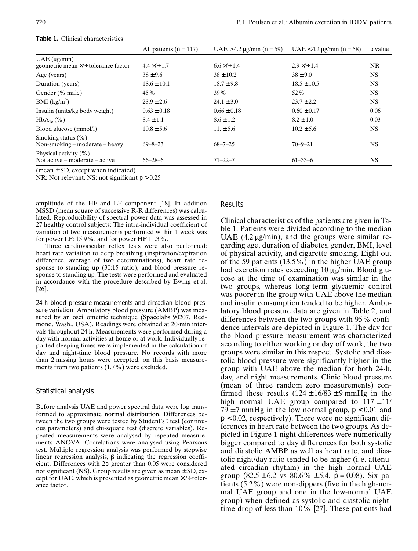|                                                         | All patients $(n = 117)$ | UAE > 4.2 $\mu$ g/min ( <i>n</i> = 59) | UAE < 4.2 $\mu$ g/min ( <i>n</i> = 58) | $p$ value |
|---------------------------------------------------------|--------------------------|----------------------------------------|----------------------------------------|-----------|
| $UAE$ ( $\mu$ g/min)                                    |                          |                                        |                                        |           |
| geometric mean $\times$ /÷ tolerance factor             | $4.4 \times 1.7$         | $6.6 \times 1.4$                       | $2.9 \times 1.4$                       | NR.       |
| Age (years)                                             | $38 \pm 9.6$             | $38 \pm 10.2$                          | $38 \pm 9.0$                           | NS.       |
| Duration (years)                                        | $18.6 \pm 10.1$          | $18.7 \pm 9.8$                         | $18.5 \pm 10.5$                        | NS.       |
| Gender (% male)                                         | 45%                      | 39 %                                   | $52\%$                                 | NS.       |
| BMI (kg/m <sup>2</sup> )                                | $23.9 \pm 2.6$           | $24.1 \pm 3.0$                         | $23.7 \pm 2.2$                         | NS.       |
| Insulin (units/kg body weight)                          | $0.63 \pm 0.18$          | $0.66 \pm 0.18$                        | $0.60 \pm 0.17$                        | 0.06      |
| $HbA_{1c}$ (%)                                          | $8.4 \pm 1.1$            | $8.6 \pm 1.2$                          | $8.2 \pm 1.0$                          | 0.03      |
| Blood glucose (mmol/l)                                  | $10.8 \pm 5.6$           | $11. \pm 5.6$                          | $10.2 \pm 5.6$                         | NS.       |
| Smoking status $(\%)$<br>Non-smoking – moderate – heavy | $69 - 8 - 23$            | $68 - 7 - 25$                          | $70 - 9 - 21$                          | NS.       |
| Physical activity (%)<br>Not active – moderate – active | $66 - 28 - 6$            | $71 - 22 - 7$                          | $61 - 33 - 6$                          | NS.       |

**Table 1.** Clinical characteristics

 $(mean \pm SD, except when indicated)$ 

NR: Not relevant. NS: not significant  $p > 0.25$ 

amplitude of the HF and LF component [18]. In addition MSSD (mean square of successive R-R differences) was calculated. Reproducibility of spectral power data was assessed in 27 healthy control subjects: The intra-individual coefficient of variation of two measurements performed within 1 week was for power LF: 15.9 %, and for power HF 11.3 %.

Three cardiovascular reflex tests were also performed: heart rate variation to deep breathing (inspiration/expiration difference, average of two determinations), heart rate response to standing up (30:15 ratio), and blood pressure response to standing up. The tests were performed and evaluated in accordance with the procedure described by Ewing et al. [26].

*24-h blood pressure measurements and circadian blood pressure variation.* Ambulatory blood pressure (AMBP) was measured by an oscillometric technique (Spacelabs 90207, Redmond, Wash., USA). Readings were obtained at 20-min intervals throughout 24 h. Measurements were performed during a day with normal activities at home or at work. Individually reported sleeping times were implemented in the calculation of day and night-time blood pressure. No records with more than 2 missing hours were accepted, on this basis measurements from two patients (1.7 %) were excluded.

# *Statistical analysis*

Before analysis UAE and power spectral data were log transformed to approximate normal distribution. Differences between the two groups were tested by Student's *t* test (continuous parameters) and chi-square test (discrete variables). Repeated measurements were analysed by repeated measurements ANOVA. Correlations were analysed using Pearsons test. Multiple regression analysis was performed by stepwise linear regression analysis,  $\beta$  indicating the regression coefficient. Differences with 2*p* greater than 0.05 were considered not significant (NS). Group results are given as mean  $\pm$  SD, except for UAE, which is presented as geometric mean  $\times$  /÷ tolerance factor.

## Results

Clinical characteristics of the patients are given in Table 1. Patients were divided according to the median UAE  $(4.2 \mu g/min)$ , and the groups were similar regarding age, duration of diabetes, gender, BMI, level of physical activity, and cigarette smoking. Eight out of the 59 patients (13.5%) in the higher UAE group had excretion rates exceeding 10 µg/min. Blood glucose at the time of examination was similar in the two groups, whereas long-term glycaemic control was poorer in the group with UAE above the median and insulin consumption tended to be higher. Ambulatory blood pressure data are given in Table 2, and differences between the two groups with 95% confidence intervals are depicted in Figure 1. The day for the blood pressure measurement was characterized according to either working or day off work, the two groups were similar in this respect. Systolic and diastolic blood pressure were significantly higher in the group with UAE above the median for both 24-h, day, and night measurements. Clinic blood pressure (mean of three random zero measurements) confirmed these results  $(124 \pm 16/83 \pm 9 \text{ mmHg}$  in the high normal UAE group compared to  $117 \pm 11/$  $79 \pm 7$  mmHg in the low normal group,  $p < 0.01$  and  $p < 0.02$ , respectively). There were no significant differences in heart rate between the two groups. As depicted in Figure 1 night differences were numerically bigger compared to day differences for both systolic and diastolic AMBP as well as heart rate, and diastolic night/day ratio tended to be higher (i.e. attenuated circadian rhythm) in the high normal UAE group  $(82.5 \pm 6.2 \text{ vs } 80.6\% \pm 5.4, p = 0.08)$ . Six patients (5.2%) were non-dippers (five in the high-normal UAE group and one in the low-normal UAE group) when defined as systolic and diastolic nighttime drop of less than 10% [27]. These patients had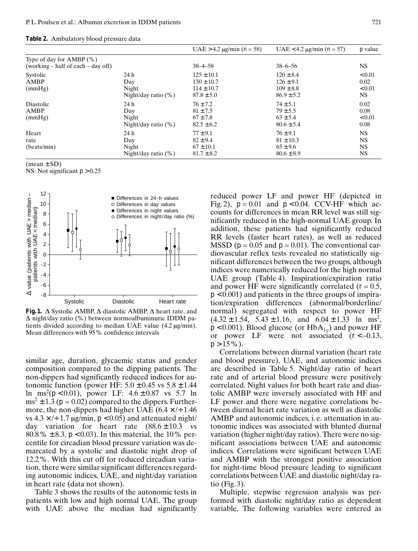|  |  |  |  |  | <b>Table 2.</b> Ambulatory blood pressure data |  |
|--|--|--|--|--|------------------------------------------------|--|
|--|--|--|--|--|------------------------------------------------|--|

|                                                                  |                                                | UAE > 4.2 $\mu$ g/min ( <i>n</i> = 58)                               | UAE < 4.2 $\mu$ g/min ( <i>n</i> = 57)                            | $p$ value                                        |
|------------------------------------------------------------------|------------------------------------------------|----------------------------------------------------------------------|-------------------------------------------------------------------|--------------------------------------------------|
| Type of day for $AMBP$ (%)<br>(working – half of each – day off) |                                                | $38 - 4 - 58$                                                        | $38 - 6 - 56$                                                     | NS.                                              |
| Systolic<br><b>AMBP</b><br>(mmHg)                                | 24 h<br>Day<br>Night<br>Night/day ratio (%)    | $125 \pm 10.1$<br>$130 \pm 10.7$<br>$114 \pm 10.7$<br>$87.8 \pm 5.0$ | $120 \pm 8.4$<br>$126 \pm 9.1$<br>$109 \pm 8.8$<br>$86.9 \pm 5.2$ | ${}_{0.01}$<br>0.02<br>${}_{0.01}$<br>NS.        |
| Diastolic<br>AMBP<br>(mmHg)                                      | 24 h<br>Day<br>Night<br>Night/day ratio $(\%)$ | $76 \pm 7.2$<br>$81 \pm 7.5$<br>$67 \pm 7.8$<br>$82.5 \pm 6.2$       | $74 \pm 5.1$<br>$79 \pm 5.5$<br>$63 \pm 5.4$<br>$80.6 \pm 5.4$    | 0.02<br>0.08<br>< 0.01<br>0.08                   |
| Heart<br>rate<br>(beats/min)                                     | 24 h<br>Day<br>Night<br>Night/day ratio $(\%)$ | $77 \pm 9.1$<br>$82 \pm 9.4$<br>$67 \pm 10.1$<br>$81.7 \pm 8.2$      | $76 \pm 9.1$<br>$81 \pm 10.3$<br>$65 \pm 9.6$<br>$80.6 \pm 8.9$   | <b>NS</b><br><b>NS</b><br><b>NS</b><br><b>NS</b> |

 $(mean \pm SD)$ 

NS: Not significant  $p > 0.25$ 



**Fig. 1.**  $\Delta$  Systolic AMBP,  $\Delta$  diastolic AMBP,  $\Delta$  heart rate, and  $\Delta$  night/day ratio (%) between normoalbuminuric IDDM patients divided according to median UAE value  $(4.2 \,\mu\text{g/min})$ . Mean differences with 95 % confidence intervals

similar age, duration, glycaemic status and gender composition compared to the dipping patients. The non-dippers had significantly reduced indices for autonomic function (power HF:  $5.0 \pm 0.45$  vs  $5.8 \pm 1.44$ ) ln ms<sup>2</sup>( $p$  < 0.01), power LF:  $4.6 \pm 0.87$  vs 5.7 ln  $ms^2 \pm 1.3$  ( $p = 0.02$ ) compared to the dippers. Furthermore, the non-dippers had higher UAE  $(6.4 \times 4)$  + 1.46 vs  $4.3 \times 1$  ÷ 1.7 µg/min,  $p < 0.05$ ) and attenuated night/ day variation for heart rate  $(88.6 \pm 10.3 \text{ vs }$ 80.8%  $\pm$  8.3,  $p$  < 0.03). In this material, the 10% percentile for circadian blood pressure variation was demarcated by a systolic and diastolic night drop of 12.2%. With this cut off for reduced circadian variation, there were similar significant differences regarding autonomic indices, UAE, and night/day variation in heart rate (data not shown).

Table 3 shows the results of the autonomic tests in patients with low and high normal UAE. The group with UAE above the median had significantly reduced power LF and power HF (depicted in Fig. 2),  $p = 0.01$  and  $p < 0.04$ . CCV-HF which accounts for differences in mean RR level was still significantly reduced in the high-normal UAE group. In addition, these patients had significantly reduced RR levels (faster heart rates), as well as reduced MSSD ( $p = 0.05$  and  $p = 0.01$ ). The conventional cardiovascular reflex tests revealed no statistically significant differences between the two groups, although indices were numerically reduced for the high normal UAE group (Table 4). Inspiration/expiration ratio and power HF were significantly correlated  $(r = 0.5,$ *p* < 0.001) and patients in the three groups of inspiration/expiration differences (abnormal/borderline/ normal) segregated with respect to power HF  $(4.32 \pm 1.54, 5.43 \pm 1.16, \text{ and } 6.04 \pm 1.33 \text{ ln } \text{ ms}^2,$  $p$  < 0.001). Blood glucose (or HbA<sub>1c</sub>) and power HF or power LF were not associated (*r* < –0.13,  $p > 15\%$ ).

Correlations between diurnal variation (heart rate and blood pressure), UAE, and autonomic indices are described in Table 5. Night/day ratio of heart rate and of arterial blood pressure were positively correlated. Night values for both heart rate and diastolic AMBP were inversely associated with HF and LF power and there were negative correlations between diurnal heart rate variation as well as diastolic AMBP and autonomic indices, i. e. attenuation in autonomic indices was associated with blunted diurnal variation (higher night/day ratios). There were no significant associations between UAE and autonomic indices. Correlations were significant between UAE and AMBP with the strongest positive association for night-time blood pressure leading to significant correlations between UAE and diastolic night/day ratio  $(Fi\varrho. 3)$ .

Multiple, stepwise regression analysis was performed with diastolic night/day ratio as dependent variable. The following variables were entered as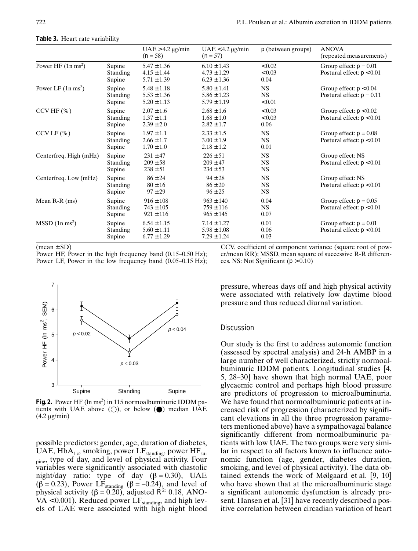|                              |                                     | $UAE > 4.2 \mu g/min$<br>$(n = 58)$                   | $UAE < 4.2 \mu g/min$<br>$(n = 57)$                   | $p$ (between groups)                | <b>ANOVA</b><br>(repeated measurements)                 |
|------------------------------|-------------------------------------|-------------------------------------------------------|-------------------------------------------------------|-------------------------------------|---------------------------------------------------------|
| Power HF $(1n \text{ ms}^2)$ | Supine<br><b>Standing</b><br>Supine | $5.47 \pm 1.36$<br>$4.15 \pm 1.44$<br>$5.71 \pm 1.39$ | $6.10 \pm 1.43$<br>$4.73 \pm 1.29$<br>$6.23 \pm 1.36$ | < 0.02<br>< 0.03<br>0.04            | Group effect: $p = 0.01$<br>Postural effect: $p < 0.01$ |
| Power LF $(1n ms2)$          | Supine<br><b>Standing</b><br>Supine | $5.48 \pm 1.18$<br>$5.53 \pm 1.36$<br>$5.20 \pm 1.13$ | $5.80 \pm 1.41$<br>$5.86 \pm 1.23$<br>$5.79 \pm 1.19$ | <b>NS</b><br><b>NS</b><br>< 0.01    | Group effect: $p < 0.04$<br>Postural effect: $p = 0.11$ |
| $CCV$ HF $(\% )$             | Supine<br><b>Standing</b><br>Supine | $2.07 \pm 1.6$<br>$1.37 \pm 1.1$<br>$2.39 \pm 2.0$    | $2.68 \pm 1.6$<br>$1.68 \pm 1.0$<br>$2.82 \pm 1.7$    | < 0.03<br>< 0.03<br>0.06            | Group effect: $p < 0.02$<br>Postural effect: $p < 0.01$ |
| $CCVLF (\%)$                 | Supine<br><b>Standing</b><br>Supine | $1.97 \pm 1.1$<br>$2.66 \pm 1.7$<br>$1.70 \pm 1.0$    | $2.33 \pm 1.5$<br>$3.00 \pm 1.9$<br>$2.18 \pm 1.2$    | <b>NS</b><br><b>NS</b><br>0.01      | Group effect: $p = 0.08$<br>Postural effect: $p < 0.01$ |
| Centerfreq. High (mHz)       | Supine<br><b>Standing</b><br>Supine | $231 \pm 47$<br>$209 \pm 58$<br>$238 \pm 51$          | $226 \pm 51$<br>$209 \pm 47$<br>$234 \pm 53$          | <b>NS</b><br><b>NS</b><br><b>NS</b> | Group effect: NS<br>Postural effect: $p < 0.01$         |
| Centerfreq. Low (mHz)        | Supine<br><b>Standing</b><br>Supine | $86 \pm 24$<br>$80 \pm 16$<br>$97 \pm 29$             | $94 \pm 28$<br>$86 \pm 20$<br>$96 \pm 25$             | <b>NS</b><br><b>NS</b><br><b>NS</b> | Group effect: NS<br>Postural effect: $p < 0.01$         |
| Mean $R-R$ (ms)              | Supine<br>Standing<br>Supine        | $916 \pm 108$<br>$743 \pm 105$<br>$921 \pm 116$       | $963 \pm 140$<br>$759 \pm 116$<br>$965 \pm 145$       | 0.04<br>NS.<br>0.07                 | Group effect: $p = 0.05$<br>Postural effect: $p < 0.01$ |
| $MSSD$ (1n ms <sup>2</sup> ) | Supine<br><b>Standing</b><br>Supine | $6.54 \pm 1.15$<br>$5.60 \pm 1.11$<br>$6.77 \pm 1.29$ | $7.14 \pm 1.27$<br>$5.98 \pm 1.08$<br>$7.29 \pm 1.24$ | 0.01<br>0.06<br>0.03                | Group effect: $p = 0.01$<br>Postural effect: $p < 0.01$ |

**Table 3.** Heart rate variability

 $(mean \pm SD)$ 

Power HF, Power in the high frequency band  $(0.15-0.50 \text{ Hz})$ ; Power LF, Power in the low frequency band  $(0.05-0.15 \text{ Hz})$ ;

CCV, coefficient of component variance (square root of power/mean RR); MSSD, mean square of successive R-R differences. NS: Not Significant (*p* > 0.10)



**Fig. 2.** Power HF (ln ms<sup>2</sup>) in 115 normoalbuminuric IDDM patients with UAE above  $(\bigcirc)$ , or below  $(\bigcirc)$  median UAE  $(4.2 \mu g/min)$ 

possible predictors: gender, age, duration of diabetes, UAE,  $HbA_{1c}$ , smoking, power LF<sub>standing</sub>, power HF<sub>su-</sub> pine, type of day, and level of physical activity. Four variables were significantly associated with diastolic night/day ratio: type of day  $(\beta = 0.30)$ , UAE<br> $(\beta = 0.23)$  Power LE,  $\beta = -0.24$  and level of ( $\beta$  = 0.23), Power LF<sub>standing</sub> ( $\beta$  = –0.24), and level of physical activity ( $\beta$  = 0.20) adjusted  $R^2$  0.18 ANOphysical activity  $(\beta = 0.20)$ , adjusted  $R^2$ : 0.18, ANO-<br>VA < 0.001). Reduced power LF  $VA < 0.001$ ). Reduced power  $LF_{standing}$ , and high levels of UAE were associated with high night blood

pressure, whereas days off and high physical activity were associated with relatively low daytime blood pressure and thus reduced diurnal variation.

# **Discussion**

Our study is the first to address autonomic function (assessed by spectral analysis) and 24-h AMBP in a large number of well characterized, strictly normoalbuminuric IDDM patients. Longitudinal studies [4, 5, 28–30] have shown that high normal UAE, poor glycaemic control and perhaps high blood pressure are predictors of progression to microalbuminuria. We have found that normoalbuminuric patients at increased risk of progression (characterized by significant elevations in all the three progression parameters mentioned above) have a sympathovagal balance significantly different from normoalbuminuric patients with low UAE. The two groups were very similar in respect to all factors known to influence autonomic function (age, gender, diabetes duration, smoking, and level of physical activity). The data obtained extends the work of Mølgaard et al. [9, 10] who have shown that at the microalbuminuric stage a significant autonomic dysfunction is already present. Hansen et al. [31] have recently described a positive correlation between circadian variation of heart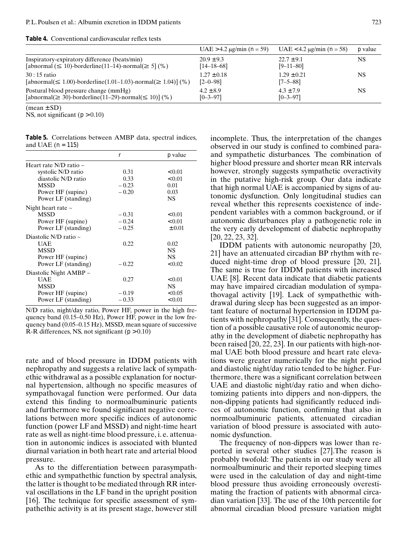|                                                                                                          | UAE > 4.2 $\mu$ g/min ( <i>n</i> = 59) | UAE < 4.2 $\mu$ g/min ( <i>n</i> = 58) | <i>p</i> value |
|----------------------------------------------------------------------------------------------------------|----------------------------------------|----------------------------------------|----------------|
| Inspiratory-expiratory difference (beats/min)                                                            | $20.9 \pm 9.3$                         | $22.7 \pm 9.1$                         | NS             |
| [abnormal $(\leq 10)$ -borderline(11–14)-normal $(\geq 5)$ (%)                                           | $[14 - 18 - 68]$                       | $[9 - 11 - 80]$                        |                |
| $30:15$ ratio                                                                                            | $1.27 \pm 0.18$                        | $1.29 \pm 0.21$                        | <b>NS</b>      |
| [abnormal( $\leq 1.00$ )-borderline(1.01–1.03)-normal( $\geq 1.04$ )] (%)                                | $[2 - 0 - 98]$                         | $[7 - 5 - 88]$                         |                |
| Postural blood pressure change (mmHg)                                                                    | $4.2 \pm 8.9$                          | $4.3 \pm 7.9$                          | NS             |
| $\lceil \text{abnormal}(\geq 30) \cdot \text{borderline}(11-29) \cdot \text{normal}(\leq 10) \rceil$ (%) | $[0 - 3 - 97]$                         | $[0 - 3 - 97]$                         |                |
|                                                                                                          |                                        |                                        |                |

 $(mean \pm SD)$ 

NS, not significant  $(p > 0.10)$ 

**Table 5.** Correlations between AMBP data, spectral indices, and UAE (*n = 115)*

|                             | r       | $p$ value     |
|-----------------------------|---------|---------------|
| Heart rate N/D ratio $\sim$ |         |               |
| systolic N/D ratio          | 0.31    | ${}_{< 0.01}$ |
| diastolic N/D ratio         | 0.33    | ${}_{< 0.01}$ |
| <b>MSSD</b>                 | $-0.23$ | 0.01          |
| Power HF (supine)           | $-0.20$ | 0.03          |
| Power LF (standing)         |         | <b>NS</b>     |
| Night heart rate $\sim$     |         |               |
| <b>MSSD</b>                 | $-0.31$ | ${}_{< 0.01}$ |
| Power HF (supine)           | $-0.24$ | < 0.01        |
| Power LF (standing)         | $-0.25$ | $\pm 0.01$    |
| Diastolic N/D ratio $\sim$  |         |               |
| <b>UAE</b>                  | 0.22    | 0.02          |
| <b>MSSD</b>                 |         | <b>NS</b>     |
| Power HF (supine)           |         | <b>NS</b>     |
| Power LF (standing)         | $-0.22$ | < 0.02        |
| Diastolic Night AMBP $\sim$ |         |               |
| <b>UAE</b>                  | 0.27    | < 0.01        |
| <b>MSSD</b>                 |         | <b>NS</b>     |
| Power HF (supine)           | $-0.19$ | < 0.05        |
| Power LF (standing)         | $-0.33$ | < 0.01        |

N/D ratio, night/day ratio, Power HF, power in the high frequency band (0.15–0.50 Hz), Power HF, power in the low frequency band (0.05–0.15 Hz), MSSD, mean square of successive R-R differences, NS, not significant  $(p > 0.10)$ 

rate and of blood pressure in IDDM patients with nephropathy and suggests a relative lack of sympathethic withdrawal as a possible explanation for nocturnal hypertension, although no specific measures of sympathovagal function were performed. Our data extend this finding to normoalbuminuric patients and furthermore we found significant negative correlations between more specific indices of autonomic function (power LF and MSSD) and night-time heart rate as well as night-time blood pressure, i. e. attenuation in autonomic indices is associated with blunted diurnal variation in both heart rate and arterial blood pressure.

As to the differentiation between parasympathethic and sympathethic function by spectral analysis, the latter is thought to be mediated through RR interval oscillations in the LF band in the upright position [16]. The technique for specific assessment of sympathethic activity is at its present stage, however still incomplete. Thus, the interpretation of the changes observed in our study is confined to combined paraand sympathetic disturbances. The combination of higher blood pressure and shorter mean RR intervals however, strongly suggests sympathetic overactivity in the putative high-risk group. Our data indicate that high normal UAE is accompanied by signs of autonomic dysfunction. Only longitudinal studies can reveal whether this represents coexistence of independent variables with a common background, or if autonomic disturbances play a pathogenetic role in the very early development of diabetic nephropathy [20, 22, 23, 32].

IDDM patients with autonomic neuropathy [20, 21] have an attenuated circadian BP rhythm with reduced night-time drop of blood pressure [20, 21]. The same is true for IDDM patients with increased UAE [8]. Recent data indicate that diabetic patients may have impaired circadian modulation of sympathovagal activity [19]. Lack of sympathethic withdrawal during sleep has been suggested as an important feature of nocturnal hypertension in IDDM patients with nephropathy [31]. Consequently, the question of a possible causative role of autonomic neuropathy in the development of diabetic nephropathy has been raised [20, 22, 23]. In our patients with high-normal UAE both blood pressure and heart rate elevations were greater numerically for the night period and diastolic night/day ratio tended to be higher. Furthermore, there was a significant correlation between UAE and diastolic night/day ratio and when dichotomizing patients into dippers and non-dippers, the non-dipping patients had significantly reduced indices of autonomic function, confirming that also in normoalbuminuric patients, attenuated circadian variation of blood pressure is associated with autonomic dysfunction.

The frequency of non-dippers was lower than reported in several other studies [27].The reason is probably twofold: The patients in our study were all normoalbuminuric and their reported sleeping times were used in the calculation of day and night-time blood pressure thus avoiding erroneously overestimating the fraction of patients with abnormal circadian variation [33]. The use of the 10th percentile for abnormal circadian blood pressure variation might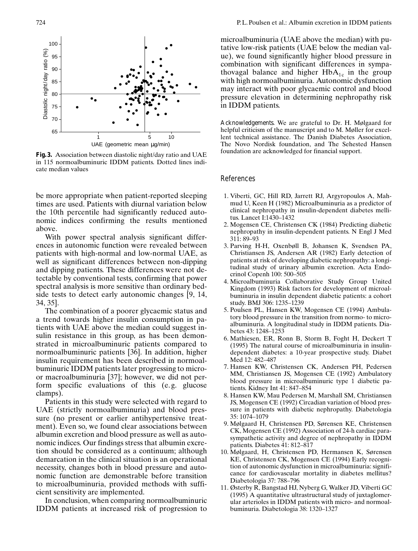

**Fig. 3.** Association between diastolic night/day ratio and UAE in 115 normoalbuminuric IDDM patients. Dotted lines indicate median values

be more appropriate when patient-reported sleeping times are used. Patients with diurnal variation below the 10th percentile had significantly reduced autonomic indices confirming the results mentioned above.

With power spectral analysis significant differences in autonomic function were revealed between patients with high-normal and low-normal UAE, as well as significant differences between non-dipping and dipping patients. These differences were not detectable by conventional tests, confirming that power spectral analysis is more sensitive than ordinary bedside tests to detect early autonomic changes [9, 14, 34, 35].

The combination of a poorer glycaemic status and a trend towards higher insulin consumption in patients with UAE above the median could suggest insulin resistance in this group, as has been demonstrated in microalbuminuric patients compared to normoalbuminuric patients [36]. In addition, higher insulin requirement has been described in normoalbuminuric IDDM patients later progressing to microor macroalbuminuria [37]; however, we did not perform specific evaluations of this (e.g. glucose clamps).

Patients in this study were selected with regard to UAE (strictly normoalbuminuria) and blood pressure (no present or earlier antihypertensive treatment). Even so, we found clear associations between albumin excretion and blood pressure as well as autonomic indices. Our findings stress that albumin excretion should be considered as a continuum; although demarcation in the clinical situation is an operational necessity, changes both in blood pressure and autonomic function are demonstrable before transition to microalbuminuria, provided methods with sufficient sensitivity are implemented.

In conclusion, when comparing normoalbuminuric IDDM patients at increased risk of progression to

microalbuminuria (UAE above the median) with putative low-risk patients (UAE below the median value), we found significantly higher blood pressure in combination with significant differences in sympathovagal balance and higher  $HbA_{1c}$  in the group with high normoalbuminuria. Autonomic dysfunction may interact with poor glycaemic control and blood pressure elevation in determining nephropathy risk in IDDM patients.

*Acknowledgements.* We are grateful to Dr. H. Mølgaard for helpful criticism of the manuscript and to M. Møller for excellent technical assistance. The Danish Diabetes Association, The Novo Nordisk foundation, and The Sehested Hansen foundation are acknowledged for financial support.

#### References

- 1. Viberti, GC, Hill RD, Jarrett RJ, Argyropoulos A, Mahmud U, Keen H (1982) Microalbuminuria as a predictor of clinical nephropathy in insulin-dependent diabetes mellitus. Lancet I:1430–1432
- 2. Mogensen CE, Christensen CK (1984) Predicting diabetic nephropathy in insulin-dependent patients. N Engl J Med 311: 89–93
- 3. Parving H-H, Oxenbøll B, Johansen K, Svendsen PA, Christiansen JS, Andersen AR (1982) Early detection of patients at risk of developing diabetic nephropathy: a longitudinal study of urinary albumin excretion. Acta Endocrinol Copenh 100: 500–505
- 4. Microalbuminuria Collaborative Study Group United Kingdom (1993) Risk factors for development of microalbuminuria in insulin dependent diabetic patients: a cohort study. BMJ 306: 1235–1239
- 5. Poulsen PL, Hansen KW, Mogensen CE (1994) Ambulatory blood pressure in the transition from normo- to microalbuminuria. A longitudinal study in IDDM patients. Diabetes 43: 1248–1253
- 6. Mathiesen, ER, Ronn B, Storm B, Foght H, Deckert T (1995) The natural course of microalbuminuria in insulindependent diabetes: a 10-year prospective study. Diabet Med 12: 482–487
- 7. Hansen KW, Christensen CK, Andersen PH, Pedersen MM, Christiansen JS, Mogensen CE (1992) Ambulatory blood pressure in microalbuminuric type 1 diabetic patients. Kidney Int 41: 847–854
- 8. Hansen KW, Mau Pedersen M, Marshall SM, Christiansen JS, Mogensen CE (1992) Circadian variation of blood pressure in patients with diabetic nephropathy. Diabetologia 35: 1074–1079
- 9. Mølgaard H, Christensen PD, Sørensen KE, Christensen CK, Mogensen CE (1992) Association of 24-h cardiac parasympathetic activity and degree of nephropathy in IDDM patients. Diabetes 41: 812–817
- 10. Mølgaard, H, Christensen PD, Hermansen K, Sørensen KE, Christensen CK, Mogensen CE (1994) Early recognition of autonomic dysfunction in microalbuminuria: significance for cardiovascular mortality in diabetes mellitus? Diabetologia 37: 788–796
- 11. Østerby R, Bangstad HJ, Nyberg G, Walker JD, Viberti GC (1995) A quantitative ultrastructural study of juxtaglomerular arterioles in IDDM patients with micro- and normoalbuminuria. Diabetologia 38: 1320–1327